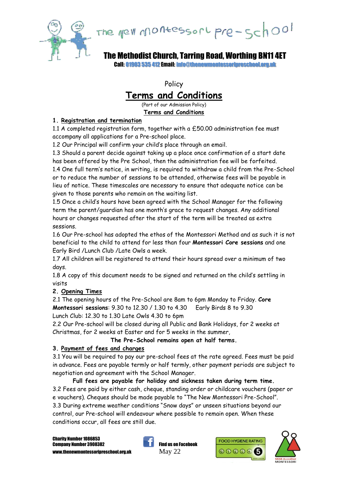

# The grew montessort pre-school

The Methodist Church, Tarring Road, Worthing BN11 4ET

Call: 01903 535 412 Email: info@thenewmontessoripreschool.org.uk

Policy

# **Terms and Conditions**

(Part of our Admission Policy) **Terms and Conditions**

#### **1. Registration and termination**

1.1 A completed registration form, together with a £50.00 administration fee must accompany all applications for a Pre-school place.

1.2 Our Principal will confirm your child's place through an email.

1.3 Should a parent decide against taking up a place once confirmation of a start date has been offered by the Pre School, then the administration fee will be forfeited. 1.4 One full term's notice, in writing, is required to withdraw a child from the Pre-School or to reduce the number of sessions to be attended, otherwise fees will be payable in lieu of notice. These timescales are necessary to ensure that adequate notice can be given to those parents who remain on the waiting list.

1.5 Once a child's hours have been agreed with the School Manager for the following term the parent/guardian has one month's grace to request changes. Any additional hours or changes requested after the start of the term will be treated as extra sessions.

1.6 Our Pre-school has adopted the ethos of the Montessori Method and as such it is not beneficial to the child to attend for less than four **Montessori Core sessions** and one Early Bird /Lunch Club /Late Owls a week.

1.7 All children will be registered to attend their hours spread over a minimum of two days.

1.8 A copy of this document needs to be signed and returned on the child's settling in visits

# **2. Opening Times**

2.1 The opening hours of the Pre-School are 8am to 6pm Monday to Friday. **Core Montessori sessions**: 9.30 to 12.30 / 1.30 to 4.30 Early Birds 8 to 9.30 Lunch Club: 12.30 to 1.30 Late Owls 4.30 to 6pm

2.2 Our Pre-school will be closed during all Public and Bank Holidays, for 2 weeks at Christmas, for 2 weeks at Easter and for 5 weeks in the summer,

#### **The Pre-School remains open at half terms.**

# **3. Payment of fees and charges**

3.1 You will be required to pay our pre-school fees at the rate agreed. Fees must be paid in advance. Fees are payable termly or half termly, other payment periods are subject to negotiation and agreement with the School Manager.

**Full fees are payable for holiday and sickness taken during term time.** 3.2 Fees are paid by either cash, cheque, standing order or childcare vouchers (paper or e vouchers). Cheques should be made payable to "The New Montessori Pre-School". 3.3 During extreme weather conditions "Snow days" or unseen situations beyond our control, our Pre-school will endeavour where possible to remain open. When these conditions occur, all fees are still due.

Charity Number 1086853 Company Number 3908382 Find us on Facebook [www.thenewmontessoripreschool.org.uk](http://www.thenewmontessoripreschool.org.uk/)  $\rm May~22$ 





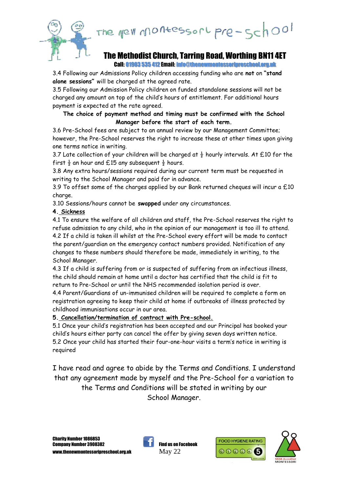the MeVi Montessori pre-school



# The Methodist Church, Tarring Road, Worthing BN11 4ET

Call: 01903 535 412 Email: info@thenewmontessoripreschool.org.uk

3.4 Following our Admissions Policy children accessing funding who are **not** on **"stand alone sessions"** will be charged at the agreed rate.

3.5 Following our Admission Policy children on funded standalone sessions will not be charged any amount on top of the child's hours of entitlement. For additional hours payment is expected at the rate agreed.

#### **The choice of payment method and timing must be confirmed with the School Manager before the start of each term.**

3.6 Pre-School fees are subject to an annual review by our Management Committee; however, the Pre-School reserves the right to increase these at other times upon giving one terms notice in writing.

3.7 Late collection of your children will be charged at  $\frac{1}{2}$  hourly intervals. At £10 for the first  $\frac{1}{2}$  an hour and £15 any subsequent  $\frac{1}{2}$  hours.

3.8 Any extra hours/sessions required during our current term must be requested in writing to the School Manager and paid for in advance.

3.9 To offset some of the charges applied by our Bank returned cheques will incur a  $£10$ charge.

3.10 Sessions/hours cannot be **swapped** under any circumstances.

# **4. Sickness**

4.1 To ensure the welfare of all children and staff, the Pre-School reserves the right to refuse admission to any child, who in the opinion of our management is too ill to attend. 4.2 If a child is taken ill whilst at the Pre-School every effort will be made to contact the parent/guardian on the emergency contact numbers provided. Notification of any changes to these numbers should therefore be made, immediately in writing, to the School Manager.

4.3 If a child is suffering from or is suspected of suffering from an infectious illness, the child should remain at home until a doctor has certified that the child is fit to return to Pre-School or until the NHS recommended isolation period is over.

4.4 Parent/Guardians of un-immunised children will be required to complete a form on registration agreeing to keep their child at home if outbreaks of illness protected by childhood immunisations occur in our area.

**5. Cancellation/termination of contract with Pre-school.**

5.1 Once your child's registration has been accepted and our Principal has booked your child's hours either party can cancel the offer by giving seven days written notice. 5.2 Once your child has started their four-one-hour visits a term's notice in writing is required

I have read and agree to abide by the Terms and Conditions. I understand that any agreement made by myself and the Pre-School for a variation to the Terms and Conditions will be stated in writing by our School Manager.